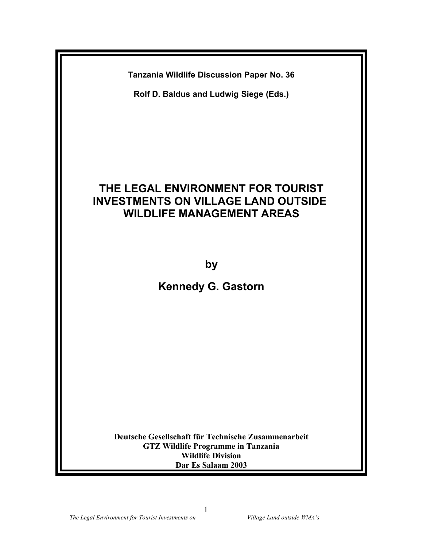**Tanzania Wildlife Discussion Paper No. 36**

**Rolf D. Baldus and Ludwig Siege (Eds.)**

# **THE LEGAL ENVIRONMENT FOR TOURIST INVESTMENTS ON VILLAGE LAND OUTSIDE WILDLIFE MANAGEMENT AREAS**

**by**

**Kennedy G. Gastorn**

**Deutsche Gesellschaft für Technische Zusammenarbeit GTZ Wildlife Programme in Tanzania Wildlife Division Dar Es Salaam 2003**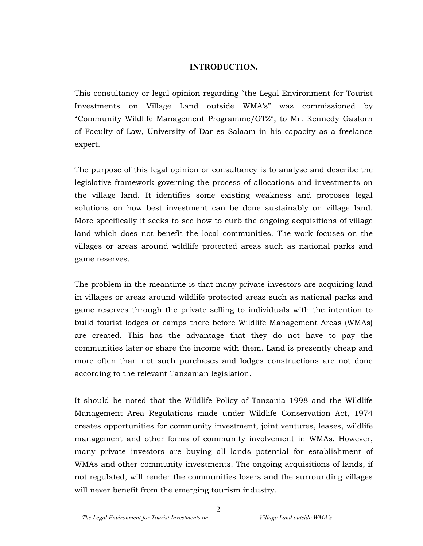## **INTRODUCTION.**

This consultancy or legal opinion regarding "the Legal Environment for Tourist Investments on Village Land outside WMA's" was commissioned by "Community Wildlife Management Programme/GTZ", to Mr. Kennedy Gastorn of Faculty of Law, University of Dar es Salaam in his capacity as a freelance expert.

The purpose of this legal opinion or consultancy is to analyse and describe the legislative framework governing the process of allocations and investments on the village land. It identifies some existing weakness and proposes legal solutions on how best investment can be done sustainably on village land. More specifically it seeks to see how to curb the ongoing acquisitions of village land which does not benefit the local communities. The work focuses on the villages or areas around wildlife protected areas such as national parks and game reserves.

The problem in the meantime is that many private investors are acquiring land in villages or areas around wildlife protected areas such as national parks and game reserves through the private selling to individuals with the intention to build tourist lodges or camps there before Wildlife Management Areas (WMAs) are created. This has the advantage that they do not have to pay the communities later or share the income with them. Land is presently cheap and more often than not such purchases and lodges constructions are not done according to the relevant Tanzanian legislation.

It should be noted that the Wildlife Policy of Tanzania 1998 and the Wildlife Management Area Regulations made under Wildlife Conservation Act, 1974 creates opportunities for community investment, joint ventures, leases, wildlife management and other forms of community involvement in WMAs. However, many private investors are buying all lands potential for establishment of WMAs and other community investments. The ongoing acquisitions of lands, if not regulated, will render the communities losers and the surrounding villages will never benefit from the emerging tourism industry.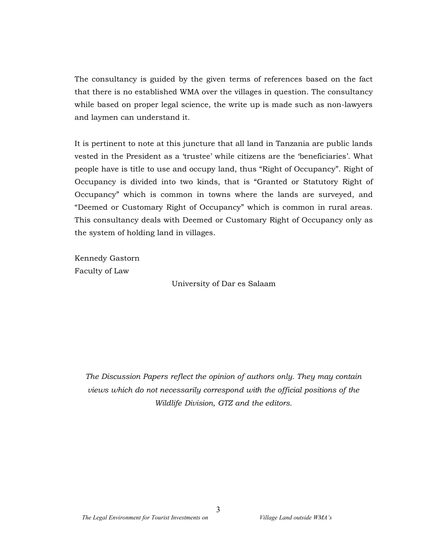The consultancy is guided by the given terms of references based on the fact that there is no established WMA over the villages in question. The consultancy while based on proper legal science, the write up is made such as non-lawyers and laymen can understand it.

It is pertinent to note at this juncture that all land in Tanzania are public lands vested in the President as a 'trustee' while citizens are the 'beneficiaries'. What people have is title to use and occupy land, thus "Right of Occupancy". Right of Occupancy is divided into two kinds, that is "Granted or Statutory Right of Occupancy" which is common in towns where the lands are surveyed, and "Deemed or Customary Right of Occupancy" which is common in rural areas. This consultancy deals with Deemed or Customary Right of Occupancy only as the system of holding land in villages.

Kennedy Gastorn Faculty of Law

University of Dar es Salaam

*The Discussion Papers reflect the opinion of authors only. They may contain views which do not necessarily correspond with the official positions of the Wildlife Division, GTZ and the editors.*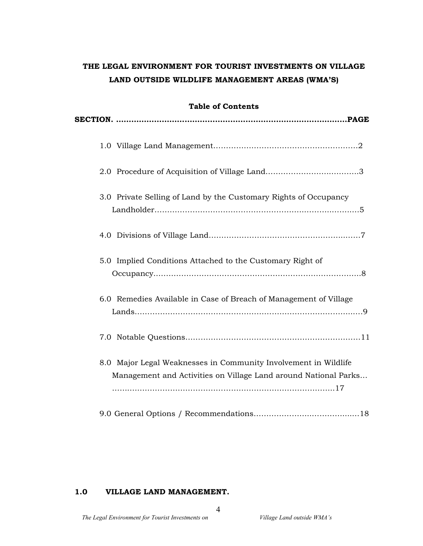# **THE LEGAL ENVIRONMENT FOR TOURIST INVESTMENTS ON VILLAGE LAND OUTSIDE WILDLIFE MANAGEMENT AREAS (WMA'S)**

| <b>Table of Contents</b>                                                                                                           |  |  |  |  |  |
|------------------------------------------------------------------------------------------------------------------------------------|--|--|--|--|--|
|                                                                                                                                    |  |  |  |  |  |
|                                                                                                                                    |  |  |  |  |  |
|                                                                                                                                    |  |  |  |  |  |
| 3.0 Private Selling of Land by the Customary Rights of Occupancy                                                                   |  |  |  |  |  |
|                                                                                                                                    |  |  |  |  |  |
| 5.0 Implied Conditions Attached to the Customary Right of                                                                          |  |  |  |  |  |
| 6.0 Remedies Available in Case of Breach of Management of Village                                                                  |  |  |  |  |  |
|                                                                                                                                    |  |  |  |  |  |
| 8.0 Major Legal Weaknesses in Community Involvement in Wildlife<br>Management and Activities on Village Land around National Parks |  |  |  |  |  |
|                                                                                                                                    |  |  |  |  |  |

### **1.0 VILLAGE LAND MANAGEMENT.**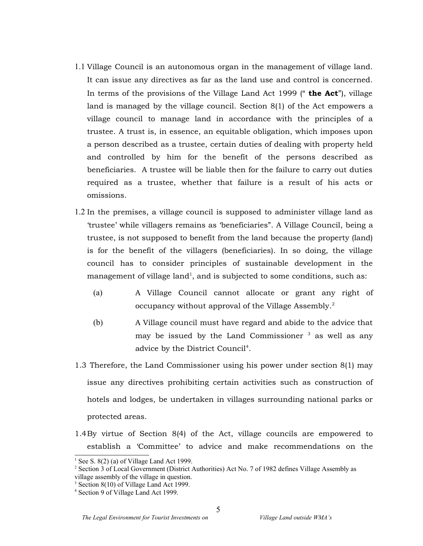- 1.1 Village Council is an autonomous organ in the management of village land. It can issue any directives as far as the land use and control is concerned. In terms of the provisions of the Village Land Act 1999 (" **the Act**"), village land is managed by the village council. Section 8(1) of the Act empowers a village council to manage land in accordance with the principles of a trustee. A trust is, in essence, an equitable obligation, which imposes upon a person described as a trustee, certain duties of dealing with property held and controlled by him for the benefit of the persons described as beneficiaries. A trustee will be liable then for the failure to carry out duties required as a trustee, whether that failure is a result of his acts or omissions.
- 1.2 In the premises, a village council is supposed to administer village land as 'trustee' while villagers remains as 'beneficiaries". A Village Council, being a trustee, is not supposed to benefit from the land because the property (land) is for the benefit of the villagers (beneficiaries). In so doing, the village council has to consider principles of sustainable development in the management of village land<sup>1</sup>, and is subjected to some conditions, such as:
	- (a) A Village Council cannot allocate or grant any right of occupancy without approval of the Village Assembly. 2
	- (b) A Village council must have regard and abide to the advice that may be issued by the Land Commissioner <sup>3</sup> as well as any advice by the District Council<sup>4</sup>.
- 1.3 Therefore, the Land Commissioner using his power under section 8(1) may issue any directives prohibiting certain activities such as construction of hotels and lodges, be undertaken in villages surrounding national parks or protected areas.
- 1.4By virtue of Section 8(4) of the Act, village councils are empowered to establish a 'Committee' to advice and make recommendations on the

<sup>&</sup>lt;sup>1</sup> See S.  $8(2)$  (a) of Village Land Act 1999.

<sup>&</sup>lt;sup>2</sup> Section 3 of Local Government (District Authorities) Act No. 7 of 1982 defines Village Assembly as

village assembly of the village in question.

<sup>&</sup>lt;sup>3</sup> Section 8(10) of Village Land Act 1999.

<sup>4</sup> Section 9 of Village Land Act 1999.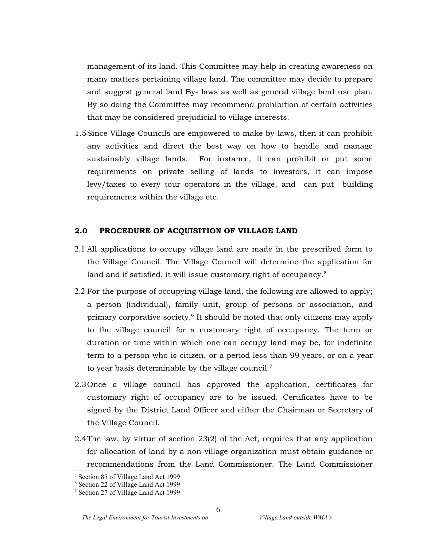management of its land. This Committee may help in creating awareness on many matters pertaining village land. The committee may decide to prepare and suggest general land By- laws as well as general village land use plan. By so doing the Committee may recommend prohibition of certain activities that may be considered prejudicial to village interests.

1.5Since Village Councils are empowered to make by-laws, then it can prohibit any activities and direct the best way on how to handle and manage sustainably village lands. For instance, it can prohibit or put some requirements on private selling of lands to investors, it can impose levy/taxes to every tour operators in the village, and can put building requirements within the village etc.

### **2.0 PROCEDURE OF ACQUISITION OF VILLAGE LAND**

- 2.1 All applications to occupy village land are made in the prescribed form to the Village Council. The Village Council will determine the application for land and if satisfied, it will issue customary right of occupancy. $^5$
- 2.2 For the purpose of occupying village land, the following are allowed to apply; a person (individual), family unit, group of persons or association, and primary corporative society.<sup>6</sup> It should be noted that only citizens may apply to the village council for a customary right of occupancy. The term or duration or time within which one can occupy land may be, for indefinite term to a person who is citizen, or a period less than 99 years, or on a year to year basis determinable by the village council.<sup>7</sup>
- 2.3Once a village council has approved the application, certificates for customary right of occupancy are to be issued. Certificates have to be signed by the District Land Officer and either the Chairman or Secretary of the Village Council.
- 2.4The law, by virtue of section 23(2) of the Act, requires that any application for allocation of land by a non-village organization must obtain guidance or recommendations from the Land Commissioner. The Land Commissioner

<sup>5</sup> Section 85 of Village Land Act 1999

<sup>6</sup> Section 22 of Village Land Act 1999

<sup>7</sup> Section 27 of Village Land Act 1999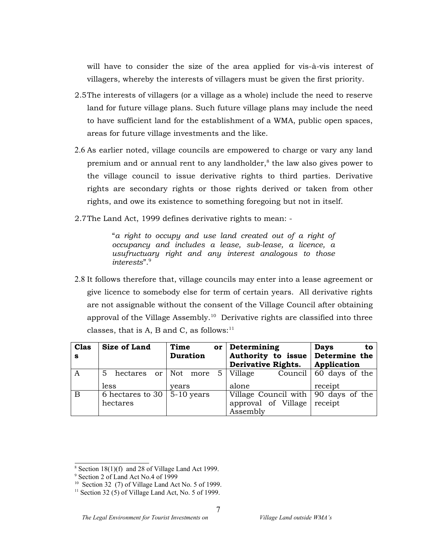will have to consider the size of the area applied for vis-à-vis interest of villagers, whereby the interests of villagers must be given the first priority.

- 2.5The interests of villagers (or a village as a whole) include the need to reserve land for future village plans. Such future village plans may include the need to have sufficient land for the establishment of a WMA, public open spaces, areas for future village investments and the like.
- 2.6 As earlier noted, village councils are empowered to charge or vary any land premium and or annual rent to any landholder, $^8$  the law also gives power to the village council to issue derivative rights to third parties. Derivative rights are secondary rights or those rights derived or taken from other rights, and owe its existence to something foregoing but not in itself.
- 2.7The Land Act, 1999 defines derivative rights to mean: -

"*a right to occupy and use land created out of a right of occupancy and includes a lease, sub-lease, a licence, a usufructuary right and any interest analogous to those interests*".<sup>9</sup>

2.8 It follows therefore that, village councils may enter into a lease agreement or give licence to somebody else for term of certain years. All derivative rights are not assignable without the consent of the Village Council after obtaining approval of the Village Assembly.<sup>10</sup> Derivative rights are classified into three classes, that is A, B and C, as follows: $11$ 

| <b>Clas</b><br>s | <b>Size of Land</b>                             | Time<br>or<br><b>Duration</b>   | Determining<br>Authority to issue Determine the<br><b>Derivative Rights.</b>   | <b>Days</b><br>to<br>Application  |
|------------------|-------------------------------------------------|---------------------------------|--------------------------------------------------------------------------------|-----------------------------------|
| A                | 5<br>less                                       | hectares or Not more 5<br>vears | Village<br>alone                                                               | Council 60 days of the<br>receipt |
| $\overline{B}$   | 6 hectares to 30 $\vert$ 5-10 years<br>hectares |                                 | Village Council with $\vert$ 90 days of the<br>approval of Village<br>Assembly | receipt                           |

 $8$  Section 18(1)(f) and 28 of Village Land Act 1999.

<sup>9</sup> Section 2 of Land Act No.4 of 1999

<sup>10</sup> Section 32 (7) of Village Land Act No. 5 of 1999.

<sup>&</sup>lt;sup>11</sup> Section 32 (5) of Village Land Act, No. 5 of 1999.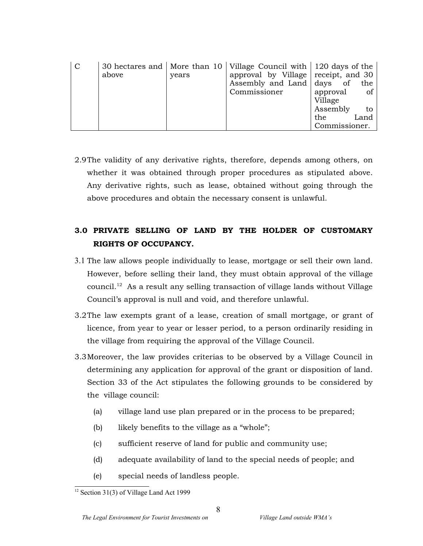| $\mathcal{C}$ | above | years | 30 hectares and   More than $10$   Village Council with   120 days of the<br>approval by Village receipt, and 30 |               |      |
|---------------|-------|-------|------------------------------------------------------------------------------------------------------------------|---------------|------|
|               |       |       | Assembly and Land days of                                                                                        |               | the  |
|               |       |       | Commissioner                                                                                                     | approval      | of   |
|               |       |       |                                                                                                                  | Village       |      |
|               |       |       |                                                                                                                  | Assembly      | to   |
|               |       |       |                                                                                                                  | the.          | Land |
|               |       |       |                                                                                                                  | Commissioner. |      |

2.9The validity of any derivative rights, therefore, depends among others, on whether it was obtained through proper procedures as stipulated above. Any derivative rights, such as lease, obtained without going through the above procedures and obtain the necessary consent is unlawful.

# **3.0 PRIVATE SELLING OF LAND BY THE HOLDER OF CUSTOMARY RIGHTS OF OCCUPANCY.**

- 3.1 The law allows people individually to lease, mortgage or sell their own land. However, before selling their land, they must obtain approval of the village council. <sup>12</sup> As a result any selling transaction of village lands without Village Council's approval is null and void, and therefore unlawful.
- 3.2The law exempts grant of a lease, creation of small mortgage, or grant of licence, from year to year or lesser period, to a person ordinarily residing in the village from requiring the approval of the Village Council.
- 3.3Moreover, the law provides criterias to be observed by a Village Council in determining any application for approval of the grant or disposition of land. Section 33 of the Act stipulates the following grounds to be considered by the village council:
	- (a) village land use plan prepared or in the process to be prepared;
	- (b) likely benefits to the village as a "whole";
	- (c) sufficient reserve of land for public and community use;
	- (d) adequate availability of land to the special needs of people; and
	- (e) special needs of landless people.

<sup>&</sup>lt;sup>12</sup> Section 31(3) of Village Land Act 1999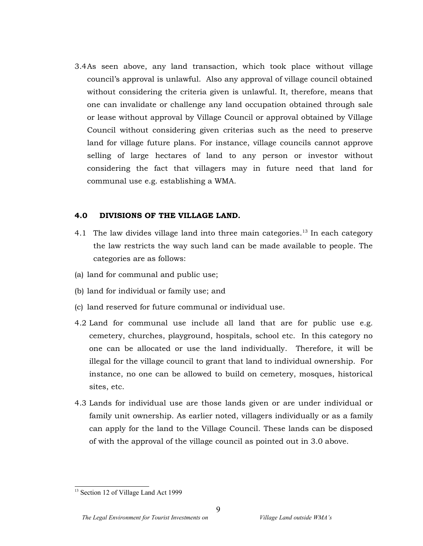3.4As seen above, any land transaction, which took place without village council's approval is unlawful. Also any approval of village council obtained without considering the criteria given is unlawful. It, therefore, means that one can invalidate or challenge any land occupation obtained through sale or lease without approval by Village Council or approval obtained by Village Council without considering given criterias such as the need to preserve land for village future plans. For instance, village councils cannot approve selling of large hectares of land to any person or investor without considering the fact that villagers may in future need that land for communal use e.g. establishing a WMA.

#### **4.0 DIVISIONS OF THE VILLAGE LAND.**

- 4.1 The law divides village land into three main categories.<sup>13</sup> In each category the law restricts the way such land can be made available to people. The categories are as follows:
- (a) land for communal and public use;
- (b) land for individual or family use; and
- (c) land reserved for future communal or individual use.
- 4.2 Land for communal use include all land that are for public use e.g. cemetery, churches, playground, hospitals, school etc. In this category no one can be allocated or use the land individually. Therefore, it will be illegal for the village council to grant that land to individual ownership. For instance, no one can be allowed to build on cemetery, mosques, historical sites, etc.
- 4.3 Lands for individual use are those lands given or are under individual or family unit ownership. As earlier noted, villagers individually or as a family can apply for the land to the Village Council. These lands can be disposed of with the approval of the village council as pointed out in 3.0 above.

<sup>&</sup>lt;sup>13</sup> Section 12 of Village Land Act 1999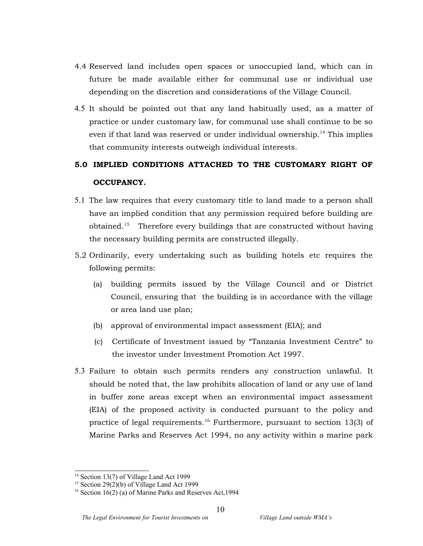- 4.4 Reserved land includes open spaces or unoccupied land, which can in future be made available either for communal use or individual use depending on the discretion and considerations of the Village Council.
- 4.5 It should be pointed out that any land habitually used, as a matter of practice or under customary law, for communal use shall continue to be so even if that land was reserved or under individual ownership.<sup>14</sup> This implies that community interests outweigh individual interests.

# **5.0 IMPLIED CONDITIONS ATTACHED TO THE CUSTOMARY RIGHT OF OCCUPANCY.**

- 5.1 The law requires that every customary title to land made to a person shall have an implied condition that any permission required before building are obtained. <sup>15</sup> Therefore every buildings that are constructed without having the necessary building permits are constructed illegally.
- 5.2 Ordinarily, every undertaking such as building hotels etc requires the following permits:
	- (a) building permits issued by the Village Council and or District Council, ensuring that the building is in accordance with the village or area land use plan;
	- (b) approval of environmental impact assessment (EIA); and
	- (c) Certificate of Investment issued by "Tanzania Investment Centre" to the investor under Investment Promotion Act 1997.
- 5.3 Failure to obtain such permits renders any construction unlawful. It should be noted that, the law prohibits allocation of land or any use of land in buffer zone areas except when an environmental impact assessment (EIA) of the proposed activity is conducted pursuant to the policy and practice of legal requirements. <sup>16</sup> Furthermore, pursuant to section 13(3) of Marine Parks and Reserves Act 1994, no any activity within a marine park

<sup>&</sup>lt;sup>14</sup> Section 13(7) of Village Land Act 1999

 $15$  Section 29(2)(b) of Village Land Act 1999

<sup>&</sup>lt;sup>16</sup> Section 16(2) (a) of Marine Parks and Reserves Act, 1994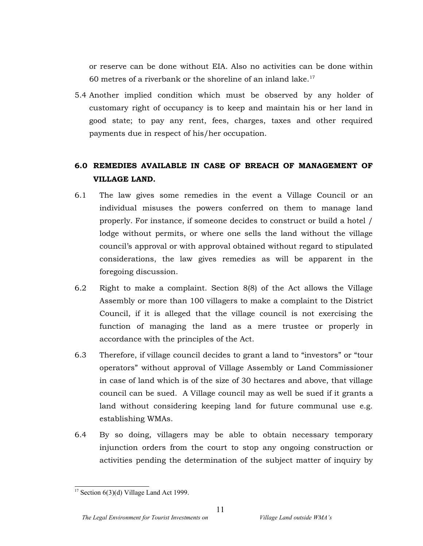or reserve can be done without EIA. Also no activities can be done within  $60$  metres of a riverbank or the shoreline of an inland lake.<sup>17</sup>

5.4 Another implied condition which must be observed by any holder of customary right of occupancy is to keep and maintain his or her land in good state; to pay any rent, fees, charges, taxes and other required payments due in respect of his/her occupation.

# **6.0 REMEDIES AVAILABLE IN CASE OF BREACH OF MANAGEMENT OF VILLAGE LAND.**

- 6.1 The law gives some remedies in the event a Village Council or an individual misuses the powers conferred on them to manage land properly. For instance, if someone decides to construct or build a hotel / lodge without permits, or where one sells the land without the village council's approval or with approval obtained without regard to stipulated considerations, the law gives remedies as will be apparent in the foregoing discussion.
- 6.2 Right to make a complaint. Section 8(8) of the Act allows the Village Assembly or more than 100 villagers to make a complaint to the District Council, if it is alleged that the village council is not exercising the function of managing the land as a mere trustee or properly in accordance with the principles of the Act.
- 6.3 Therefore, if village council decides to grant a land to "investors" or "tour operators" without approval of Village Assembly or Land Commissioner in case of land which is of the size of 30 hectares and above, that village council can be sued. A Village council may as well be sued if it grants a land without considering keeping land for future communal use e.g. establishing WMAs.
- 6.4 By so doing, villagers may be able to obtain necessary temporary injunction orders from the court to stop any ongoing construction or activities pending the determination of the subject matter of inquiry by

<sup>&</sup>lt;sup>17</sup> Section  $6(3)(d)$  Village Land Act 1999.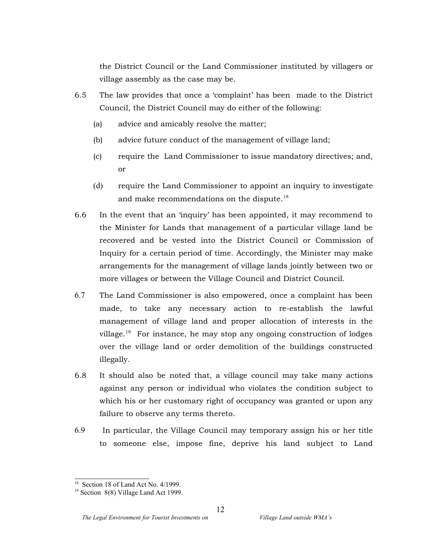the District Council or the Land Commissioner instituted by villagers or village assembly as the case may be.

- 6.5 The law provides that once a 'complaint' has been made to the District Council, the District Council may do either of the following:
	- (a) advice and amicably resolve the matter;
	- (b) advice future conduct of the management of village land;
	- (c) require the Land Commissioner to issue mandatory directives; and, or
	- (d) require the Land Commissioner to appoint an inquiry to investigate and make recommendations on the dispute.<sup>18</sup>
- 6.6 In the event that an 'inquiry' has been appointed, it may recommend to the Minister for Lands that management of a particular village land be recovered and be vested into the District Council or Commission of Inquiry for a certain period of time. Accordingly, the Minister may make arrangements for the management of village lands jointly between two or more villages or between the Village Council and District Council.
- 6.7 The Land Commissioner is also empowered, once a complaint has been made, to take any necessary action to re-establish the lawful management of village land and proper allocation of interests in the village.<sup>19</sup> For instance, he may stop any ongoing construction of lodges over the village land or order demolition of the buildings constructed illegally.
- 6.8 It should also be noted that, a village council may take many actions against any person or individual who violates the condition subject to which his or her customary right of occupancy was granted or upon any failure to observe any terms thereto.
- 6.9 In particular, the Village Council may temporary assign his or her title to someone else, impose fine, deprive his land subject to Land

<sup>&</sup>lt;sup>18</sup> Section 18 of Land Act No. 4/1999.

<sup>19</sup> Section 8(8) Village Land Act 1999.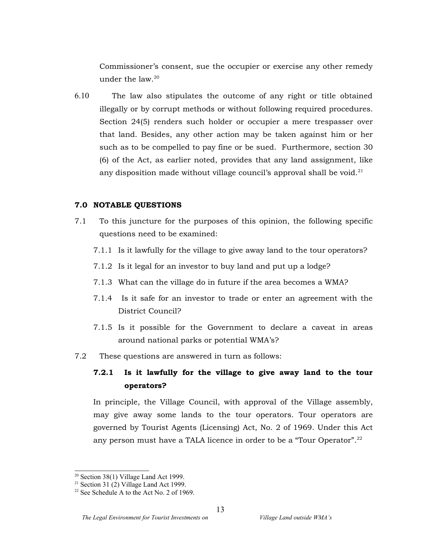Commissioner's consent, sue the occupier or exercise any other remedy under the law. 20

6.10 The law also stipulates the outcome of any right or title obtained illegally or by corrupt methods or without following required procedures. Section 24(5) renders such holder or occupier a mere trespasser over that land. Besides, any other action may be taken against him or her such as to be compelled to pay fine or be sued. Furthermore, section 30 (6) of the Act, as earlier noted, provides that any land assignment, like any disposition made without village council's approval shall be void.<sup>21</sup>

#### **7.0 NOTABLE QUESTIONS**

- 7.1 To this juncture for the purposes of this opinion, the following specific questions need to be examined:
	- 7.1.1 Is it lawfully for the village to give away land to the tour operators?
	- 7.1.2 Is it legal for an investor to buy land and put up a lodge?
	- 7.1.3 What can the village do in future if the area becomes a WMA?
	- 7.1.4 Is it safe for an investor to trade or enter an agreement with the District Council?
	- 7.1.5 Is it possible for the Government to declare a caveat in areas around national parks or potential WMA's?
- 7.2 These questions are answered in turn as follows:

# **7.2.1 Is it lawfully for the village to give away land to the tour operators?**

In principle, the Village Council, with approval of the Village assembly, may give away some lands to the tour operators. Tour operators are governed by Tourist Agents (Licensing) Act, No. 2 of 1969. Under this Act any person must have a TALA licence in order to be a "Tour Operator".<sup>22</sup>

<sup>20</sup> Section 38(1) Village Land Act 1999.

<sup>&</sup>lt;sup>21</sup> Section 31 (2) Village Land Act 1999.

 $22$  See Schedule A to the Act No. 2 of 1969.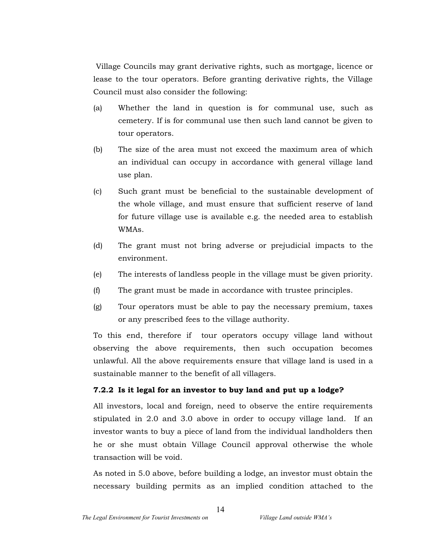Village Councils may grant derivative rights, such as mortgage, licence or lease to the tour operators. Before granting derivative rights, the Village Council must also consider the following:

- (a) Whether the land in question is for communal use, such as cemetery. If is for communal use then such land cannot be given to tour operators.
- (b) The size of the area must not exceed the maximum area of which an individual can occupy in accordance with general village land use plan.
- (c) Such grant must be beneficial to the sustainable development of the whole village, and must ensure that sufficient reserve of land for future village use is available e.g. the needed area to establish WMAs.
- (d) The grant must not bring adverse or prejudicial impacts to the environment.
- (e) The interests of landless people in the village must be given priority.
- (f) The grant must be made in accordance with trustee principles.
- (g) Tour operators must be able to pay the necessary premium, taxes or any prescribed fees to the village authority.

To this end, therefore if tour operators occupy village land without observing the above requirements, then such occupation becomes unlawful. All the above requirements ensure that village land is used in a sustainable manner to the benefit of all villagers.

### **7.2.2 Is it legal for an investor to buy land and put up a lodge?**

All investors, local and foreign, need to observe the entire requirements stipulated in 2.0 and 3.0 above in order to occupy village land. If an investor wants to buy a piece of land from the individual landholders then he or she must obtain Village Council approval otherwise the whole transaction will be void.

As noted in 5.0 above, before building a lodge, an investor must obtain the necessary building permits as an implied condition attached to the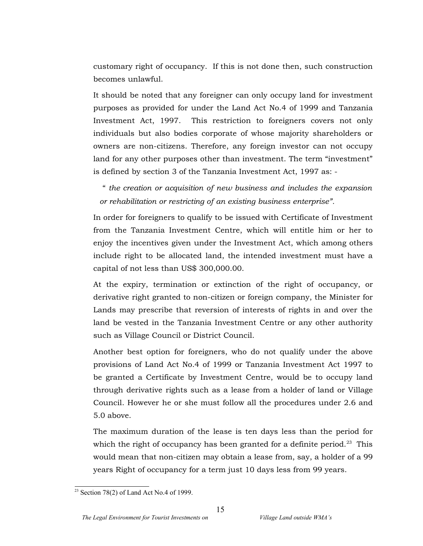customary right of occupancy. If this is not done then, such construction becomes unlawful.

It should be noted that any foreigner can only occupy land for investment purposes as provided for under the Land Act No.4 of 1999 and Tanzania Investment Act, 1997. This restriction to foreigners covers not only individuals but also bodies corporate of whose majority shareholders or owners are non-citizens. Therefore, any foreign investor can not occupy land for any other purposes other than investment. The term "investment" is defined by section 3 of the Tanzania Investment Act, 1997 as: -

" *the creation or acquisition of new business and includes the expansion or rehabilitation or restricting of an existing business enterprise".*

In order for foreigners to qualify to be issued with Certificate of Investment from the Tanzania Investment Centre, which will entitle him or her to enjoy the incentives given under the Investment Act, which among others include right to be allocated land, the intended investment must have a capital of not less than US\$ 300,000.00.

At the expiry, termination or extinction of the right of occupancy, or derivative right granted to non-citizen or foreign company, the Minister for Lands may prescribe that reversion of interests of rights in and over the land be vested in the Tanzania Investment Centre or any other authority such as Village Council or District Council.

Another best option for foreigners, who do not qualify under the above provisions of Land Act No.4 of 1999 or Tanzania Investment Act 1997 to be granted a Certificate by Investment Centre, would be to occupy land through derivative rights such as a lease from a holder of land or Village Council. However he or she must follow all the procedures under 2.6 and 5.0 above.

The maximum duration of the lease is ten days less than the period for which the right of occupancy has been granted for a definite period.<sup>23</sup> This would mean that non-citizen may obtain a lease from, say, a holder of a 99 years Right of occupancy for a term just 10 days less from 99 years.

 $23$  Section 78(2) of Land Act No.4 of 1999.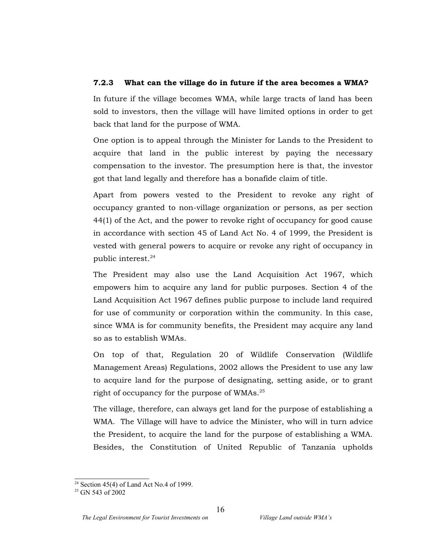## **7.2.3 What can the village do in future if the area becomes a WMA?**

In future if the village becomes WMA, while large tracts of land has been sold to investors, then the village will have limited options in order to get back that land for the purpose of WMA.

One option is to appeal through the Minister for Lands to the President to acquire that land in the public interest by paying the necessary compensation to the investor. The presumption here is that, the investor got that land legally and therefore has a bonafide claim of title.

Apart from powers vested to the President to revoke any right of occupancy granted to non-village organization or persons, as per section 44(1) of the Act, and the power to revoke right of occupancy for good cause in accordance with section 45 of Land Act No. 4 of 1999, the President is vested with general powers to acquire or revoke any right of occupancy in public interest. 24

The President may also use the Land Acquisition Act 1967, which empowers him to acquire any land for public purposes. Section 4 of the Land Acquisition Act 1967 defines public purpose to include land required for use of community or corporation within the community. In this case, since WMA is for community benefits, the President may acquire any land so as to establish WMAs.

On top of that, Regulation 20 of Wildlife Conservation (Wildlife Management Areas) Regulations, 2002 allows the President to use any law to acquire land for the purpose of designating, setting aside, or to grant right of occupancy for the purpose of WMAs.<sup>25</sup>

The village, therefore, can always get land for the purpose of establishing a WMA. The Village will have to advice the Minister, who will in turn advice the President, to acquire the land for the purpose of establishing a WMA. Besides, the Constitution of United Republic of Tanzania upholds

<sup>&</sup>lt;sup>24</sup> Section 45(4) of Land Act No.4 of 1999.

<sup>&</sup>lt;sup>25</sup> GN 543 of 2002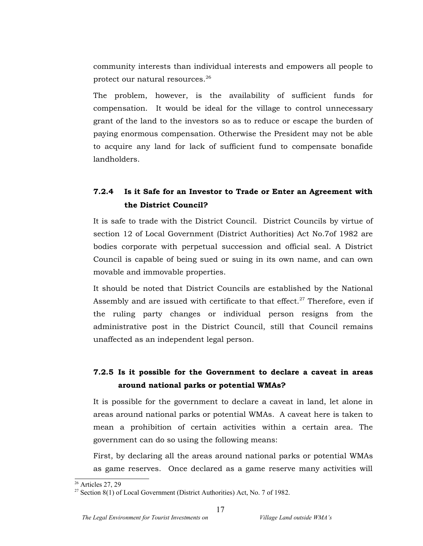community interests than individual interests and empowers all people to protect our natural resources. $^{\rm 26}$ 

The problem, however, is the availability of sufficient funds for compensation. It would be ideal for the village to control unnecessary grant of the land to the investors so as to reduce or escape the burden of paying enormous compensation. Otherwise the President may not be able to acquire any land for lack of sufficient fund to compensate bonafide landholders.

# **7.2.4 Is it Safe for an Investor to Trade or Enter an Agreement with the District Council?**

It is safe to trade with the District Council. District Councils by virtue of section 12 of Local Government (District Authorities) Act No.7of 1982 are bodies corporate with perpetual succession and official seal. A District Council is capable of being sued or suing in its own name, and can own movable and immovable properties.

It should be noted that District Councils are established by the National Assembly and are issued with certificate to that effect.<sup>27</sup> Therefore, even if the ruling party changes or individual person resigns from the administrative post in the District Council, still that Council remains unaffected as an independent legal person.

# **7.2.5 Is it possible for the Government to declare a caveat in areas around national parks or potential WMAs?**

It is possible for the government to declare a caveat in land, let alone in areas around national parks or potential WMAs. A caveat here is taken to mean a prohibition of certain activities within a certain area. The government can do so using the following means:

First, by declaring all the areas around national parks or potential WMAs as game reserves. Once declared as a game reserve many activities will

<sup>&</sup>lt;sup>26</sup> Articles 27, 29

<sup>&</sup>lt;sup>27</sup> Section 8(1) of Local Government (District Authorities) Act, No. 7 of 1982.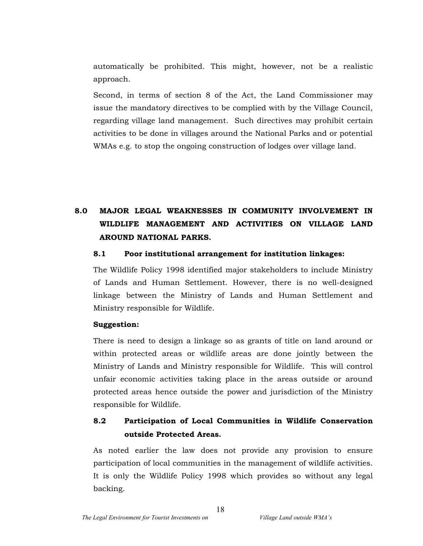automatically be prohibited. This might, however, not be a realistic approach.

Second, in terms of section 8 of the Act, the Land Commissioner may issue the mandatory directives to be complied with by the Village Council, regarding village land management. Such directives may prohibit certain activities to be done in villages around the National Parks and or potential WMAs e.g. to stop the ongoing construction of lodges over village land.

# **8.0 MAJOR LEGAL WEAKNESSES IN COMMUNITY INVOLVEMENT IN WILDLIFE MANAGEMENT AND ACTIVITIES ON VILLAGE LAND AROUND NATIONAL PARKS.**

#### **8.1 Poor institutional arrangement for institution linkages:**

The Wildlife Policy 1998 identified major stakeholders to include Ministry of Lands and Human Settlement. However, there is no well-designed linkage between the Ministry of Lands and Human Settlement and Ministry responsible for Wildlife.

#### **Suggestion:**

There is need to design a linkage so as grants of title on land around or within protected areas or wildlife areas are done jointly between the Ministry of Lands and Ministry responsible for Wildlife. This will control unfair economic activities taking place in the areas outside or around protected areas hence outside the power and jurisdiction of the Ministry responsible for Wildlife.

# **8.2 Participation of Local Communities in Wildlife Conservation outside Protected Areas.**

As noted earlier the law does not provide any provision to ensure participation of local communities in the management of wildlife activities. It is only the Wildlife Policy 1998 which provides so without any legal backing.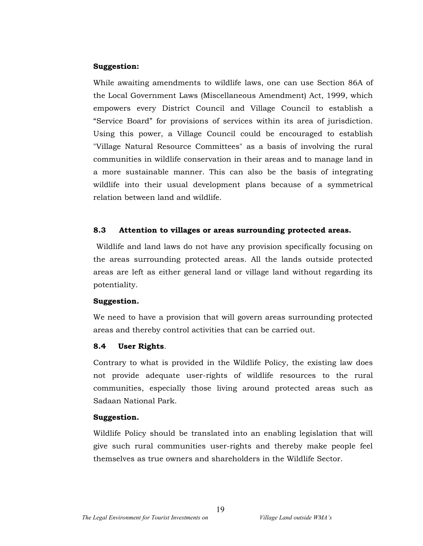### **Suggestion:**

While awaiting amendments to wildlife laws, one can use Section 86A of the Local Government Laws (Miscellaneous Amendment) Act, 1999, which empowers every District Council and Village Council to establish a "Service Board" for provisions of services within its area of jurisdiction. Using this power, a Village Council could be encouraged to establish "Village Natural Resource Committees" as a basis of involving the rural communities in wildlife conservation in their areas and to manage land in a more sustainable manner. This can also be the basis of integrating wildlife into their usual development plans because of a symmetrical relation between land and wildlife.

### **8.3 Attention to villages or areas surrounding protected areas.**

Wildlife and land laws do not have any provision specifically focusing on the areas surrounding protected areas. All the lands outside protected areas are left as either general land or village land without regarding its potentiality.

#### **Suggestion.**

We need to have a provision that will govern areas surrounding protected areas and thereby control activities that can be carried out.

### **8.4 User Rights**.

Contrary to what is provided in the Wildlife Policy, the existing law does not provide adequate user-rights of wildlife resources to the rural communities, especially those living around protected areas such as Sadaan National Park.

#### **Suggestion.**

Wildlife Policy should be translated into an enabling legislation that will give such rural communities user-rights and thereby make people feel themselves as true owners and shareholders in the Wildlife Sector.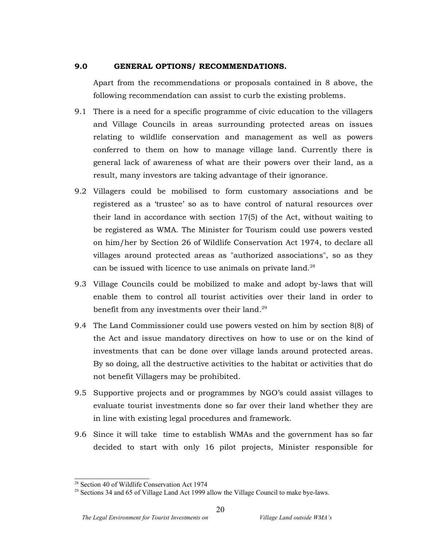### **9.0 GENERAL OPTIONS/ RECOMMENDATIONS.**

Apart from the recommendations or proposals contained in 8 above, the following recommendation can assist to curb the existing problems.

- 9.1 There is a need for a specific programme of civic education to the villagers and Village Councils in areas surrounding protected areas on issues relating to wildlife conservation and management as well as powers conferred to them on how to manage village land. Currently there is general lack of awareness of what are their powers over their land, as a result, many investors are taking advantage of their ignorance.
- 9.2 Villagers could be mobilised to form customary associations and be registered as a 'trustee' so as to have control of natural resources over their land in accordance with section 17(5) of the Act, without waiting to be registered as WMA. The Minister for Tourism could use powers vested on him/her by Section 26 of Wildlife Conservation Act 1974, to declare all villages around protected areas as "authorized associations", so as they can be issued with licence to use animals on private land. $^{28}$
- 9.3 Village Councils could be mobilized to make and adopt by-laws that will enable them to control all tourist activities over their land in order to benefit from any investments over their land.<sup>29</sup>
- 9.4 The Land Commissioner could use powers vested on him by section 8(8) of the Act and issue mandatory directives on how to use or on the kind of investments that can be done over village lands around protected areas. By so doing, all the destructive activities to the habitat or activities that do not benefit Villagers may be prohibited.
- 9.5 Supportive projects and or programmes by NGO's could assist villages to evaluate tourist investments done so far over their land whether they are in line with existing legal procedures and framework.
- 9.6 Since it will take time to establish WMAs and the government has so far decided to start with only 16 pilot projects, Minister responsible for

<sup>28</sup> Section 40 of Wildlife Conservation Act 1974

<sup>&</sup>lt;sup>29</sup> Sections 34 and 65 of Village Land Act 1999 allow the Village Council to make bye-laws.